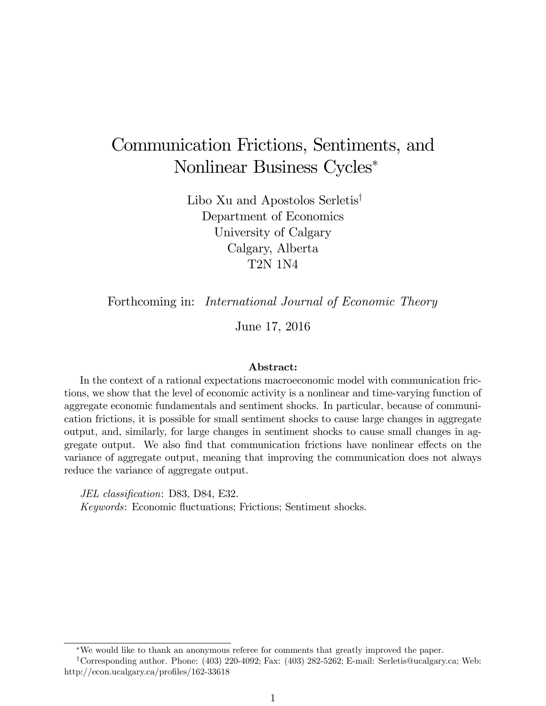# Communication Frictions, Sentiments, and Nonlinear Business Cycles

Libo Xu and Apostolos Serletis<sup>†</sup> Department of Economics University of Calgary Calgary, Alberta T2N 1N4

Forthcoming in: *International Journal of Economic Theory* 

June 17, 2016

#### Abstract:

In the context of a rational expectations macroeconomic model with communication frictions, we show that the level of economic activity is a nonlinear and time-varying function of aggregate economic fundamentals and sentiment shocks. In particular, because of communication frictions, it is possible for small sentiment shocks to cause large changes in aggregate output, and, similarly, for large changes in sentiment shocks to cause small changes in aggregate output. We also find that communication frictions have nonlinear effects on the variance of aggregate output, meaning that improving the communication does not always reduce the variance of aggregate output.

JEL classification: D83, D84, E32. Keywords: Economic fluctuations; Frictions; Sentiment shocks.

We would like to thank an anonymous referee for comments that greatly improved the paper.

<sup>y</sup>Corresponding author. Phone: (403) 220-4092; Fax: (403) 282-5262; E-mail: Serletis@ucalgary.ca; Web: http://econ.ucalgary.ca/profiles/162-33618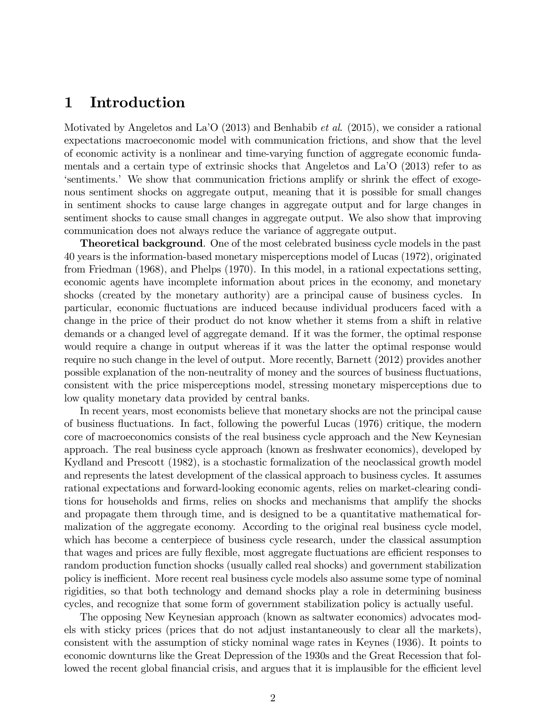# 1 Introduction

Motivated by Angeletos and La<sup> $\prime$ </sup>O (2013) and Benhabib *et al.* (2015), we consider a rational expectations macroeconomic model with communication frictions, and show that the level of economic activity is a nonlinear and time-varying function of aggregate economic fundamentals and a certain type of extrinsic shocks that Angeletos and LaíO (2013) refer to as estlements. We show that communication frictions amplify or shrink the effect of exogenous sentiment shocks on aggregate output, meaning that it is possible for small changes in sentiment shocks to cause large changes in aggregate output and for large changes in sentiment shocks to cause small changes in aggregate output. We also show that improving communication does not always reduce the variance of aggregate output.

**Theoretical background.** One of the most celebrated business cycle models in the past 40 years is the information-based monetary misperceptions model of Lucas (1972), originated from Friedman (1968), and Phelps (1970). In this model, in a rational expectations setting, economic agents have incomplete information about prices in the economy, and monetary shocks (created by the monetary authority) are a principal cause of business cycles. In particular, economic fluctuations are induced because individual producers faced with a change in the price of their product do not know whether it stems from a shift in relative demands or a changed level of aggregate demand. If it was the former, the optimal response would require a change in output whereas if it was the latter the optimal response would require no such change in the level of output. More recently, Barnett (2012) provides another possible explanation of the non-neutrality of money and the sources of business fluctuations, consistent with the price misperceptions model, stressing monetary misperceptions due to low quality monetary data provided by central banks.

In recent years, most economists believe that monetary shocks are not the principal cause of business áuctuations. In fact, following the powerful Lucas (1976) critique, the modern core of macroeconomics consists of the real business cycle approach and the New Keynesian approach. The real business cycle approach (known as freshwater economics), developed by Kydland and Prescott (1982), is a stochastic formalization of the neoclassical growth model and represents the latest development of the classical approach to business cycles. It assumes rational expectations and forward-looking economic agents, relies on market-clearing conditions for households and Örms, relies on shocks and mechanisms that amplify the shocks and propagate them through time, and is designed to be a quantitative mathematical formalization of the aggregate economy. According to the original real business cycle model, which has become a centerpiece of business cycle research, under the classical assumption that wages and prices are fully flexible, most aggregate fluctuations are efficient responses to random production function shocks (usually called real shocks) and government stabilization policy is inefficient. More recent real business cycle models also assume some type of nominal rigidities, so that both technology and demand shocks play a role in determining business cycles, and recognize that some form of government stabilization policy is actually useful.

The opposing New Keynesian approach (known as saltwater economics) advocates models with sticky prices (prices that do not adjust instantaneously to clear all the markets), consistent with the assumption of sticky nominal wage rates in Keynes (1936). It points to economic downturns like the Great Depression of the 1930s and the Great Recession that followed the recent global financial crisis, and argues that it is implausible for the efficient level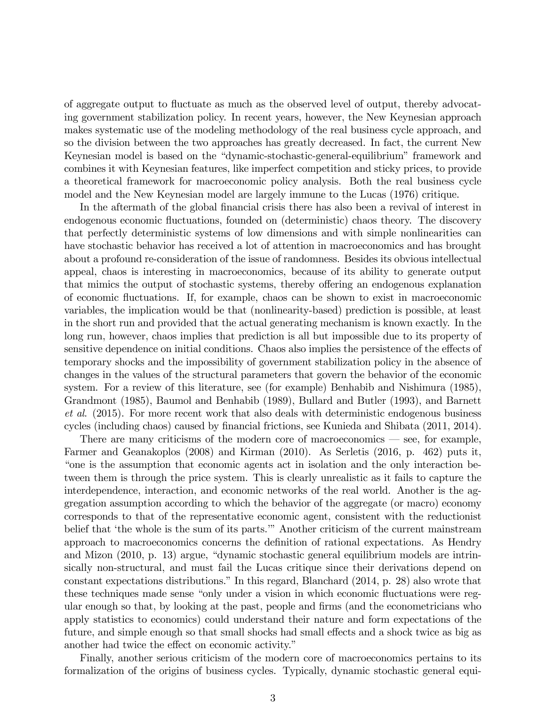of aggregate output to fluctuate as much as the observed level of output, thereby advocating government stabilization policy. In recent years, however, the New Keynesian approach makes systematic use of the modeling methodology of the real business cycle approach, and so the division between the two approaches has greatly decreased. In fact, the current New Keynesian model is based on the "dynamic-stochastic-general-equilibrium" framework and combines it with Keynesian features, like imperfect competition and sticky prices, to provide a theoretical framework for macroeconomic policy analysis. Both the real business cycle model and the New Keynesian model are largely immune to the Lucas (1976) critique.

In the aftermath of the global financial crisis there has also been a revival of interest in endogenous economic fluctuations, founded on (deterministic) chaos theory. The discovery that perfectly deterministic systems of low dimensions and with simple nonlinearities can have stochastic behavior has received a lot of attention in macroeconomics and has brought about a profound re-consideration of the issue of randomness. Besides its obvious intellectual appeal, chaos is interesting in macroeconomics, because of its ability to generate output that mimics the output of stochastic systems, thereby offering an endogenous explanation of economic áuctuations. If, for example, chaos can be shown to exist in macroeconomic variables, the implication would be that (nonlinearity-based) prediction is possible, at least in the short run and provided that the actual generating mechanism is known exactly. In the long run, however, chaos implies that prediction is all but impossible due to its property of sensitive dependence on initial conditions. Chaos also implies the persistence of the effects of temporary shocks and the impossibility of government stabilization policy in the absence of changes in the values of the structural parameters that govern the behavior of the economic system. For a review of this literature, see (for example) Benhabib and Nishimura (1985), Grandmont (1985), Baumol and Benhabib (1989), Bullard and Butler (1993), and Barnett et al. (2015). For more recent work that also deals with deterministic endogenous business cycles (including chaos) caused by financial frictions, see Kunieda and Shibata (2011, 2014).

There are many criticisms of the modern core of macroeconomics  $\sim$  see, for example, Farmer and Geanakoplos (2008) and Kirman (2010). As Serletis (2016, p. 462) puts it, ìone is the assumption that economic agents act in isolation and the only interaction between them is through the price system. This is clearly unrealistic as it fails to capture the interdependence, interaction, and economic networks of the real world. Another is the aggregation assumption according to which the behavior of the aggregate (or macro) economy corresponds to that of the representative economic agent, consistent with the reductionist belief that 'the whole is the sum of its parts." Another criticism of the current mainstream approach to macroeconomics concerns the definition of rational expectations. As Hendry and Mizon  $(2010, p. 13)$  argue, "dynamic stochastic general equilibrium models are intrinsically non-structural, and must fail the Lucas critique since their derivations depend on constant expectations distributions." In this regard, Blanchard  $(2014, p. 28)$  also wrote that these techniques made sense "only under a vision in which economic fluctuations were regular enough so that, by looking at the past, people and Örms (and the econometricians who apply statistics to economics) could understand their nature and form expectations of the future, and simple enough so that small shocks had small effects and a shock twice as big as another had twice the effect on economic activity."

Finally, another serious criticism of the modern core of macroeconomics pertains to its formalization of the origins of business cycles. Typically, dynamic stochastic general equi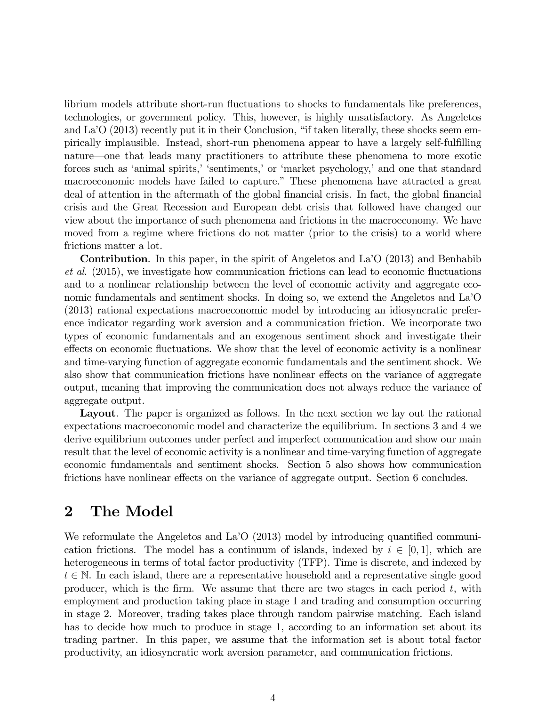librium models attribute short-run fluctuations to shocks to fundamentals like preferences, technologies, or government policy. This, however, is highly unsatisfactory. As Angeletos and La<sup> $\prime$ </sup>O (2013) recently put it in their Conclusion, "if taken literally, these shocks seem empirically implausible. Instead, short-run phenomena appear to have a largely self-fulfilling nature—one that leads many practitioners to attribute these phenomena to more exotic forces such as 'animal spirits,' 'sentiments,' or 'market psychology,' and one that standard macroeconomic models have failed to capture." These phenomena have attracted a great deal of attention in the aftermath of the global financial crisis. In fact, the global financial crisis and the Great Recession and European debt crisis that followed have changed our view about the importance of such phenomena and frictions in the macroeconomy. We have moved from a regime where frictions do not matter (prior to the crisis) to a world where frictions matter a lot.

Contribution. In this paper, in the spirit of Angeletos and La<sup>7</sup>O (2013) and Benhabib  $et al.$  (2015), we investigate how communication frictions can lead to economic fluctuations and to a nonlinear relationship between the level of economic activity and aggregate economic fundamentals and sentiment shocks. In doing so, we extend the Angeletos and La<sup>7</sup>O (2013) rational expectations macroeconomic model by introducing an idiosyncratic preference indicator regarding work aversion and a communication friction. We incorporate two types of economic fundamentals and an exogenous sentiment shock and investigate their effects on economic fluctuations. We show that the level of economic activity is a nonlinear and time-varying function of aggregate economic fundamentals and the sentiment shock. We also show that communication frictions have nonlinear effects on the variance of aggregate output, meaning that improving the communication does not always reduce the variance of aggregate output.

Layout. The paper is organized as follows. In the next section we lay out the rational expectations macroeconomic model and characterize the equilibrium. In sections 3 and 4 we derive equilibrium outcomes under perfect and imperfect communication and show our main result that the level of economic activity is a nonlinear and time-varying function of aggregate economic fundamentals and sentiment shocks. Section 5 also shows how communication frictions have nonlinear effects on the variance of aggregate output. Section 6 concludes.

# 2 The Model

We reformulate the Angeletos and La<sup> $\prime$ </sup>O (2013) model by introducing quantified communication frictions. The model has a continuum of islands, indexed by  $i \in [0, 1]$ , which are heterogeneous in terms of total factor productivity (TFP). Time is discrete, and indexed by  $t \in \mathbb{N}$ . In each island, there are a representative household and a representative single good producer, which is the firm. We assume that there are two stages in each period  $t$ , with employment and production taking place in stage 1 and trading and consumption occurring in stage 2. Moreover, trading takes place through random pairwise matching. Each island has to decide how much to produce in stage 1, according to an information set about its trading partner. In this paper, we assume that the information set is about total factor productivity, an idiosyncratic work aversion parameter, and communication frictions.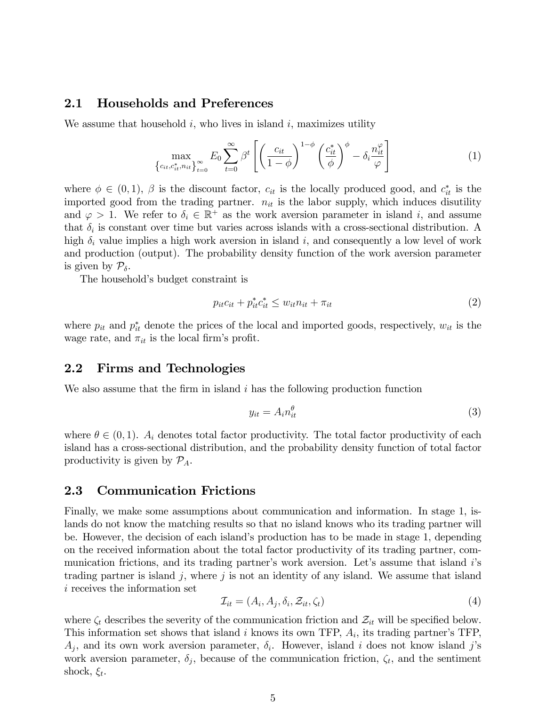#### 2.1 Households and Preferences

We assume that household  $i$ , who lives in island  $i$ , maximizes utility

$$
\max_{\left\{c_{it}, c_{it}^*, n_{it}\right\}_{t=0}^{\infty}} E_0 \sum_{t=0}^{\infty} \beta^t \left[ \left(\frac{c_{it}}{1-\phi}\right)^{1-\phi} \left(\frac{c_{it}^*}{\phi}\right)^{\phi} - \delta_i \frac{n_{it}^{\varphi}}{\varphi} \right]
$$
(1)

where  $\phi \in (0,1)$ ,  $\beta$  is the discount factor,  $c_{it}$  is the locally produced good, and  $c_{it}^*$  is the imported good from the trading partner.  $n_{it}$  is the labor supply, which induces disutility and  $\varphi > 1$ . We refer to  $\delta_i \in \mathbb{R}^+$  as the work aversion parameter in island i, and assume that  $\delta_i$  is constant over time but varies across islands with a cross-sectional distribution. A high  $\delta_i$  value implies a high work aversion in island i, and consequently a low level of work and production (output). The probability density function of the work aversion parameter is given by  $\mathcal{P}_{\delta}$ .

The household's budget constraint is

$$
p_{it}c_{it} + p_{it}^*c_{it}^* \le w_{it}n_{it} + \pi_{it} \tag{2}
$$

where  $p_{it}$  and  $p_{it}^*$  denote the prices of the local and imported goods, respectively,  $w_{it}$  is the wage rate, and  $\pi_{it}$  is the local firm's profit.

#### 2.2 Firms and Technologies

We also assume that the firm in island  $i$  has the following production function

$$
y_{it} = A_i n_{it}^{\theta} \tag{3}
$$

where  $\theta \in (0, 1)$ .  $A_i$  denotes total factor productivity. The total factor productivity of each island has a cross-sectional distribution, and the probability density function of total factor productivity is given by  $\mathcal{P}_A$ .

#### 2.3 Communication Frictions

Finally, we make some assumptions about communication and information. In stage 1, islands do not know the matching results so that no island knows who its trading partner will be. However, the decision of each island's production has to be made in stage 1, depending on the received information about the total factor productivity of its trading partner, communication frictions, and its trading partner's work aversion. Let's assume that island is trading partner is island j, where j is not an identity of any island. We assume that island i receives the information set

$$
\mathcal{I}_{it} = (A_i, A_j, \delta_i, \mathcal{Z}_{it}, \zeta_t)
$$
\n<sup>(4)</sup>

where  $\zeta_t$  describes the severity of the communication friction and  $\mathcal{Z}_{it}$  will be specified below. This information set shows that island  $i$  knows its own TFP,  $A_i$ , its trading partner's TFP,  $A_j$ , and its own work aversion parameter,  $\delta_i$ . However, island i does not know island j's work aversion parameter,  $\delta_j$ , because of the communication friction,  $\zeta_t$ , and the sentiment shock,  $\xi_t$ .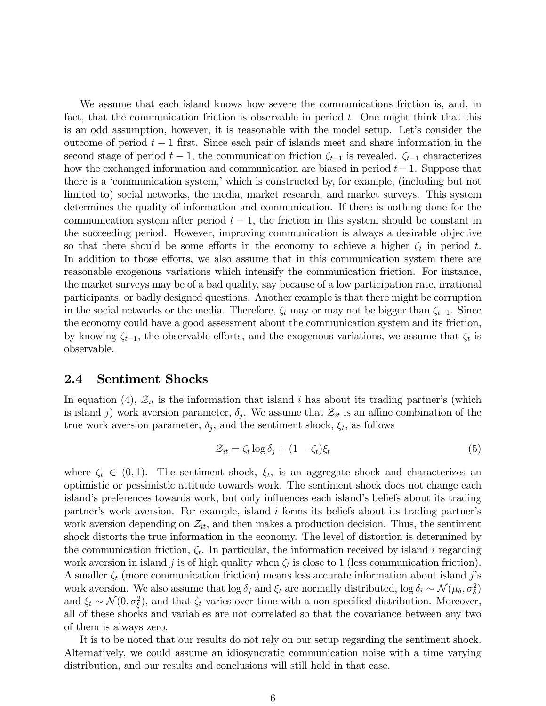We assume that each island knows how severe the communications friction is, and, in fact, that the communication friction is observable in period  $t$ . One might think that this is an odd assumption, however, it is reasonable with the model setup. Let's consider the outcome of period  $t-1$  first. Since each pair of islands meet and share information in the second stage of period  $t - 1$ , the communication friction  $\zeta_{t-1}$  is revealed.  $\zeta_{t-1}$  characterizes how the exchanged information and communication are biased in period  $t-1$ . Suppose that there is a 'communication system,' which is constructed by, for example, (including but not limited to) social networks, the media, market research, and market surveys. This system determines the quality of information and communication. If there is nothing done for the communication system after period  $t - 1$ , the friction in this system should be constant in the succeeding period. However, improving communication is always a desirable objective so that there should be some efforts in the economy to achieve a higher  $\zeta_t$  in period t. In addition to those efforts, we also assume that in this communication system there are reasonable exogenous variations which intensify the communication friction. For instance, the market surveys may be of a bad quality, say because of a low participation rate, irrational participants, or badly designed questions. Another example is that there might be corruption in the social networks or the media. Therefore,  $\zeta_t$  may or may not be bigger than  $\zeta_{t-1}$ . Since the economy could have a good assessment about the communication system and its friction, by knowing  $\zeta_{t-1}$ , the observable efforts, and the exogenous variations, we assume that  $\zeta_t$  is observable.

#### 2.4 Sentiment Shocks

In equation (4),  $\mathcal{Z}_{it}$  is the information that island i has about its trading partner's (which is island j) work aversion parameter,  $\delta_j$ . We assume that  $\mathcal{Z}_{it}$  is an affine combination of the true work aversion parameter,  $\delta_j$ , and the sentiment shock,  $\xi_t$ , as follows

$$
\mathcal{Z}_{it} = \zeta_t \log \delta_j + (1 - \zeta_t)\xi_t \tag{5}
$$

where  $\zeta_t \in (0,1)$ . The sentiment shock,  $\xi_t$ , is an aggregate shock and characterizes an optimistic or pessimistic attitude towards work. The sentiment shock does not change each island's preferences towards work, but only influences each island's beliefs about its trading partner's work aversion. For example, island  $i$  forms its beliefs about its trading partner's work aversion depending on  $\mathcal{Z}_{it}$ , and then makes a production decision. Thus, the sentiment shock distorts the true information in the economy. The level of distortion is determined by the communication friction,  $\zeta_t$ . In particular, the information received by island i regarding work aversion in island j is of high quality when  $\zeta_t$  is close to 1 (less communication friction). A smaller  $\zeta_t$  (more communication friction) means less accurate information about island j's work aversion. We also assume that  $\log \delta_j$  and  $\xi_t$  are normally distributed,  $\log \delta_i \sim \mathcal{N}(\mu_\delta, \sigma_\delta^2)$ and  $\xi_t \sim \mathcal{N}(0, \sigma_{\xi}^2)$ , and that  $\zeta_t$  varies over time with a non-specified distribution. Moreover, all of these shocks and variables are not correlated so that the covariance between any two of them is always zero.

It is to be noted that our results do not rely on our setup regarding the sentiment shock. Alternatively, we could assume an idiosyncratic communication noise with a time varying distribution, and our results and conclusions will still hold in that case.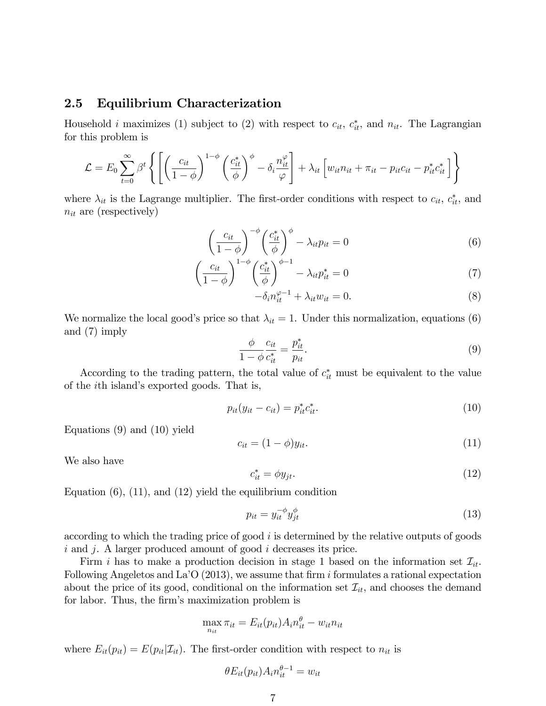#### 2.5 Equilibrium Characterization

Household *i* maximizes (1) subject to (2) with respect to  $c_{it}$ ,  $c_{it}^*$ , and  $n_{it}$ . The Lagrangian for this problem is

$$
\mathcal{L} = E_0 \sum_{t=0}^{\infty} \beta^t \left\{ \left[ \left( \frac{c_{it}}{1-\phi} \right)^{1-\phi} \left( \frac{c_{it}^*}{\phi} \right)^{\phi} - \delta_i \frac{n_{it}^{\varphi}}{\varphi} \right] + \lambda_{it} \left[ w_{it} n_{it} + \pi_{it} - p_{it} c_{it} - p_{it}^* c_{it}^* \right] \right\}
$$

where  $\lambda_{it}$  is the Lagrange multiplier. The first-order conditions with respect to  $c_{it}$ ,  $c_{it}^*$ , and  $n_{it}$  are (respectively)

$$
\left(\frac{c_{it}}{1-\phi}\right)^{-\phi} \left(\frac{c_{it}^*}{\phi}\right)^{\phi} - \lambda_{it} p_{it} = 0 \tag{6}
$$

$$
\left(\frac{c_{it}}{1-\phi}\right)^{1-\phi} \left(\frac{c_{it}^*}{\phi}\right)^{\phi-1} - \lambda_{it} p_{it}^* = 0 \tag{7}
$$

$$
-\delta_i n_{it}^{\varphi - 1} + \lambda_{it} w_{it} = 0.
$$
\n(8)

We normalize the local good's price so that  $\lambda_{it} = 1$ . Under this normalization, equations (6) and (7) imply

$$
\frac{\phi}{1-\phi} \frac{c_{it}}{c_{it}^*} = \frac{p_{it}^*}{p_{it}}.\tag{9}
$$

According to the trading pattern, the total value of  $c_{it}^*$  must be equivalent to the value of the *i*th island's exported goods. That is,

$$
p_{it}(y_{it} - c_{it}) = p_{it}^* c_{it}^*.
$$
\n(10)

Equations (9) and (10) yield

$$
c_{it} = (1 - \phi)y_{it}.\tag{11}
$$

We also have

$$
c_{it}^* = \phi y_{jt}.\tag{12}
$$

Equation  $(6)$ ,  $(11)$ , and  $(12)$  yield the equilibrium condition

$$
p_{it} = y_{it}^{-\phi} y_{jt}^{\phi} \tag{13}
$$

according to which the trading price of good  $i$  is determined by the relative outputs of goods i and j. A larger produced amount of good i decreases its price.

Firm i has to make a production decision in stage 1 based on the information set  $\mathcal{I}_{it}$ . Following Angeletos and La<sup> $\overline{O}$ </sup> (2013), we assume that firm i formulates a rational expectation about the price of its good, conditional on the information set  $\mathcal{I}_{it}$ , and chooses the demand for labor. Thus, the firm's maximization problem is

$$
\max_{n_{it}} \pi_{it} = E_{it}(p_{it}) A_i n_{it}^{\theta} - w_{it} n_{it}
$$

where  $E_{it}(p_{it}) = E(p_{it}|\mathcal{I}_{it})$ . The first-order condition with respect to  $n_{it}$  is

$$
\theta E_{it}(p_{it}) A_i n_{it}^{\theta - 1} = w_{it}
$$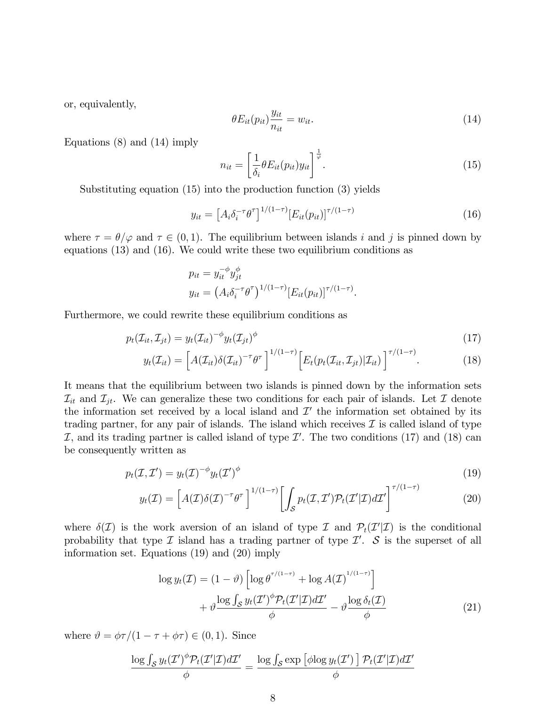or, equivalently,

$$
\theta E_{it}(p_{it}) \frac{y_{it}}{n_{it}} = w_{it}.
$$
\n(14)

Equations (8) and (14) imply

$$
n_{it} = \left[\frac{1}{\delta_i} \theta E_{it}(p_{it}) y_{it}\right]^{\frac{1}{\varphi}}.
$$
\n(15)

Substituting equation (15) into the production function (3) yields

$$
y_{it} = \left[A_i \delta_i^{-\tau} \theta^{\tau}\right]^{1/(1-\tau)} \left[E_{it}(p_{it})\right]^{\tau/(1-\tau)}
$$
(16)

where  $\tau = \theta/\varphi$  and  $\tau \in (0, 1)$ . The equilibrium between islands i and j is pinned down by equations (13) and (16). We could write these two equilibrium conditions as

$$
p_{it} = y_{it}^{-\phi} y_{jt}^{\phi}
$$
  

$$
y_{it} = (A_i \delta_i^{-\tau} \theta^{\tau})^{1/(1-\tau)} [E_{it}(p_{it})]^{\tau/(1-\tau)}.
$$

Furthermore, we could rewrite these equilibrium conditions as

$$
p_t(\mathcal{I}_{it}, \mathcal{I}_{jt}) = y_t(\mathcal{I}_{it})^{-\phi} y_t(\mathcal{I}_{jt})^{\phi}
$$
\n(17)

$$
y_t(\mathcal{I}_{it}) = \left[ A(\mathcal{I}_{it}) \delta(\mathcal{I}_{it})^{-\tau} \theta^{\tau} \right]^{1/(1-\tau)} \left[ E_t(p_t(\mathcal{I}_{it}, \mathcal{I}_{jt}) | \mathcal{I}_{it}) \right]^{\tau/(1-\tau)}.
$$
(18)

It means that the equilibrium between two islands is pinned down by the information sets  $\mathcal{I}_{it}$  and  $\mathcal{I}_{jt}$ . We can generalize these two conditions for each pair of islands. Let  $\mathcal I$  denote the information set received by a local island and  $\mathcal{I}'$  the information set obtained by its trading partner, for any pair of islands. The island which receives  $\mathcal I$  is called island of type  $I$ , and its trading partner is called island of type  $I'$ . The two conditions (17) and (18) can be consequently written as

$$
p_t(\mathcal{I}, \mathcal{I}') = y_t(\mathcal{I})^{-\phi} y_t(\mathcal{I}')^{\phi}
$$
\n(19)

$$
y_t(\mathcal{I}) = \left[ A(\mathcal{I}) \delta(\mathcal{I})^{-\tau} \theta^{\tau} \right]^{1/(1-\tau)} \left[ \int_{\mathcal{S}} p_t(\mathcal{I}, \mathcal{I}') \mathcal{P}_t(\mathcal{I}' | \mathcal{I}) d\mathcal{I}' \right]^{\tau/(1-\tau)}
$$
(20)

where  $\delta(\mathcal{I})$  is the work aversion of an island of type  $\mathcal{I}$  and  $\mathcal{P}_t(\mathcal{I}'|\mathcal{I})$  is the conditional probability that type  $\mathcal I$  island has a trading partner of type  $\mathcal I'$ .  $\mathcal S$  is the superset of all information set. Equations (19) and (20) imply

$$
\log y_t(\mathcal{I}) = (1 - \vartheta) \left[ \log \theta^{\tau/(1-\tau)} + \log A(\mathcal{I})^{1/(1-\tau)} \right] + \vartheta \frac{\log \int_{\mathcal{S}} y_t(\mathcal{I}')^{\phi} \mathcal{P}_t(\mathcal{I}' | \mathcal{I}) d\mathcal{I}'}{\phi} - \vartheta \frac{\log \delta_t(\mathcal{I})}{\phi}
$$
(21)

where  $\vartheta = \phi \tau/(1 - \tau + \phi \tau) \in (0, 1)$ . Since

$$
\frac{\log \int_{\mathcal{S}} y_t(\mathcal{I}')^{\phi} \mathcal{P}_t(\mathcal{I}'|\mathcal{I}) d\mathcal{I}'}{\phi} = \frac{\log \int_{\mathcal{S}} \exp \left[\phi \log y_t(\mathcal{I}')\right] \mathcal{P}_t(\mathcal{I}'|\mathcal{I}) d\mathcal{I}'}{\phi}
$$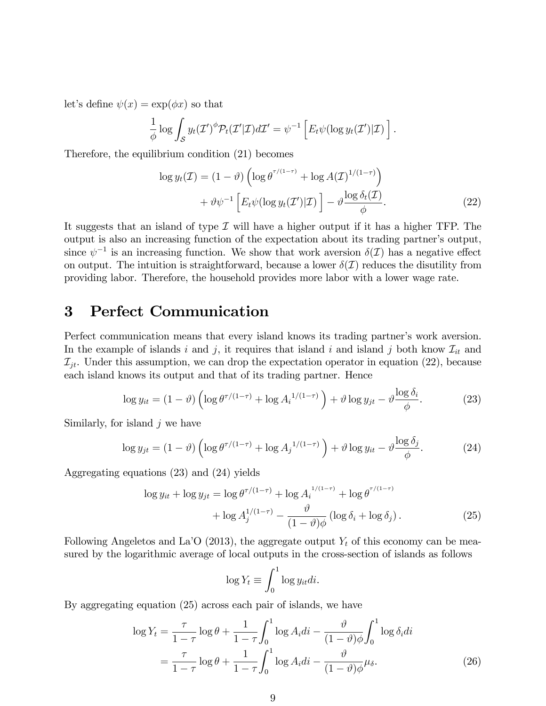let's define  $\psi(x) = \exp(\phi x)$  so that

$$
\frac{1}{\phi} \log \int_{\mathcal{S}} y_t(\mathcal{I}')^{\phi} \mathcal{P}_t(\mathcal{I}'|\mathcal{I}) d\mathcal{I}' = \psi^{-1} \left[ E_t \psi(\log y_t(\mathcal{I}')|\mathcal{I}) \right].
$$

Therefore, the equilibrium condition (21) becomes

$$
\log y_t(\mathcal{I}) = (1 - \vartheta) \left( \log \theta^{\tau/(1-\tau)} + \log A(\mathcal{I})^{1/(1-\tau)} \right) + \vartheta \psi^{-1} \left[ E_t \psi(\log y_t(\mathcal{I}') | \mathcal{I}) \right] - \vartheta \frac{\log \delta_t(\mathcal{I})}{\phi}.
$$
 (22)

It suggests that an island of type  $\mathcal I$  will have a higher output if it has a higher TFP. The output is also an increasing function of the expectation about its trading partner's output, since  $\psi^{-1}$  is an increasing function. We show that work aversion  $\delta(\mathcal{I})$  has a negative effect on output. The intuition is straightforward, because a lower  $\delta(\mathcal{I})$  reduces the disutility from providing labor. Therefore, the household provides more labor with a lower wage rate.

# 3 Perfect Communication

Perfect communication means that every island knows its trading partner's work aversion. In the example of islands i and j, it requires that island i and island j both know  $\mathcal{I}_{it}$  and  $\mathcal{I}_{it}$ . Under this assumption, we can drop the expectation operator in equation (22), because each island knows its output and that of its trading partner. Hence

$$
\log y_{it} = (1 - \vartheta) \left( \log \theta^{\tau/(1-\tau)} + \log A_i^{1/(1-\tau)} \right) + \vartheta \log y_{jt} - \vartheta \frac{\log \delta_i}{\phi}.
$$
 (23)

Similarly, for island  $i$  we have

$$
\log y_{jt} = (1 - \vartheta) \left( \log \theta^{\tau/(1-\tau)} + \log A_j^{1/(1-\tau)} \right) + \vartheta \log y_{it} - \vartheta \frac{\log \delta_j}{\phi}.
$$
 (24)

Aggregating equations (23) and (24) yields

$$
\log y_{it} + \log y_{jt} = \log \theta^{\tau/(1-\tau)} + \log A_i^{1/(1-\tau)} + \log \theta^{\tau/(1-\tau)} + \log A_j^{1/(1-\tau)} - \frac{\vartheta}{(1-\vartheta)\phi} (\log \delta_i + \log \delta_j). \tag{25}
$$

Following Angeletos and La<sup> $\circ$ </sup> (2013), the aggregate output  $Y_t$  of this economy can be measured by the logarithmic average of local outputs in the cross-section of islands as follows

$$
\log Y_t \equiv \int_0^1 \log y_{it} dt.
$$

By aggregating equation (25) across each pair of islands, we have

$$
\log Y_t = \frac{\tau}{1-\tau} \log \theta + \frac{1}{1-\tau} \int_0^1 \log A_i di - \frac{\vartheta}{(1-\vartheta)\phi} \int_0^1 \log \delta_i di
$$

$$
= \frac{\tau}{1-\tau} \log \theta + \frac{1}{1-\tau} \int_0^1 \log A_i di - \frac{\vartheta}{(1-\vartheta)\phi} \mu_{\delta}.
$$
(26)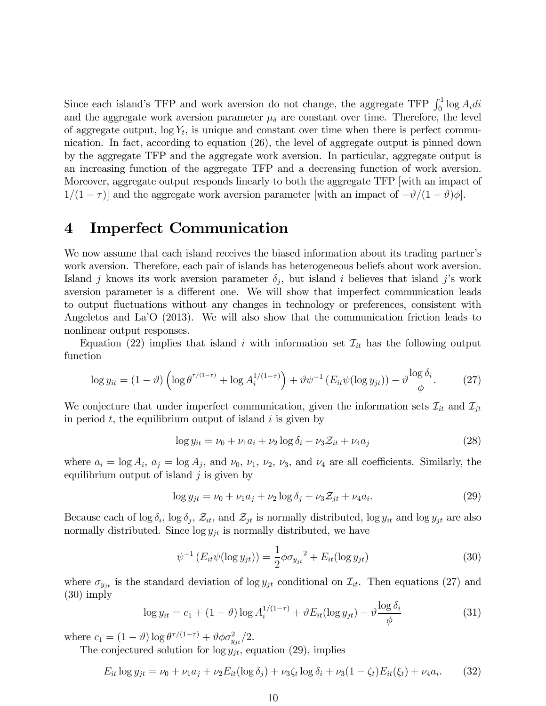Since each island's TFP and work aversion do not change, the aggregate TFP  $\int_0^1 \log A_i \, di$ and the aggregate work aversion parameter  $\mu_{\delta}$  are constant over time. Therefore, the level of aggregate output,  $log Y_t$ , is unique and constant over time when there is perfect communication. In fact, according to equation (26), the level of aggregate output is pinned down by the aggregate TFP and the aggregate work aversion. In particular, aggregate output is an increasing function of the aggregate TFP and a decreasing function of work aversion. Moreover, aggregate output responds linearly to both the aggregate TFP [with an impact of  $1/(1 - \tau)$ ] and the aggregate work aversion parameter [with an impact of  $-\vartheta/(1 - \vartheta)\varphi$ ].

### 4 Imperfect Communication

We now assume that each island receives the biased information about its trading partner's work aversion. Therefore, each pair of islands has heterogeneous beliefs about work aversion. Island j knows its work aversion parameter  $\delta_j$ , but island i believes that island j's work aversion parameter is a different one. We will show that imperfect communication leads to output fluctuations without any changes in technology or preferences, consistent with Angeletos and La<sup>'</sup>O (2013). We will also show that the communication friction leads to nonlinear output responses.

Equation (22) implies that island i with information set  $\mathcal{I}_{it}$  has the following output function

$$
\log y_{it} = (1 - \vartheta) \left( \log \theta^{\tau/(1-\tau)} + \log A_i^{1/(1-\tau)} \right) + \vartheta \psi^{-1} \left( E_{it} \psi(\log y_{jt}) \right) - \vartheta \frac{\log \delta_i}{\phi}.
$$
 (27)

We conjecture that under imperfect communication, given the information sets  $\mathcal{I}_{it}$  and  $\mathcal{I}_{jt}$ in period  $t$ , the equilibrium output of island  $i$  is given by

$$
\log y_{it} = \nu_0 + \nu_1 a_i + \nu_2 \log \delta_i + \nu_3 \mathcal{Z}_{it} + \nu_4 a_j \tag{28}
$$

where  $a_i = \log A_i$ ,  $a_j = \log A_j$ , and  $\nu_0$ ,  $\nu_1$ ,  $\nu_2$ ,  $\nu_3$ , and  $\nu_4$  are all coefficients. Similarly, the equilibrium output of island  $j$  is given by

$$
\log y_{jt} = \nu_0 + \nu_1 a_j + \nu_2 \log \delta_j + \nu_3 \mathcal{Z}_{jt} + \nu_4 a_i. \tag{29}
$$

Because each of  $\log \delta_i$ ,  $\log \delta_j$ ,  $\mathcal{Z}_{it}$ , and  $\mathcal{Z}_{jt}$  is normally distributed,  $\log y_{it}$  and  $\log y_{jt}$  are also normally distributed. Since  $\log y_{jt}$  is normally distributed, we have

$$
\psi^{-1} \left( E_{it} \psi(\log y_{jt}) \right) = \frac{1}{2} \phi \sigma_{y_{jt}}^2 + E_{it} (\log y_{jt}) \tag{30}
$$

where  $\sigma_{y_{jt}}$  is the standard deviation of log  $y_{jt}$  conditional on  $\mathcal{I}_{it}$ . Then equations (27) and (30) imply

$$
\log y_{it} = c_1 + (1 - \vartheta) \log A_i^{1/(1 - \tau)} + \vartheta E_{it}(\log y_{jt}) - \vartheta \frac{\log \delta_i}{\phi}
$$
\n(31)

where  $c_1 = (1 - \vartheta) \log \theta^{\tau/(1 - \tau)} + \vartheta \phi \sigma_{y_{jt}}^2/2$ .

The conjectured solution for  $\log y_{jt}$ , equation (29), implies

$$
E_{it} \log y_{jt} = \nu_0 + \nu_1 a_j + \nu_2 E_{it} (\log \delta_j) + \nu_3 \zeta_t \log \delta_i + \nu_3 (1 - \zeta_t) E_{it}(\xi_t) + \nu_4 a_i. \tag{32}
$$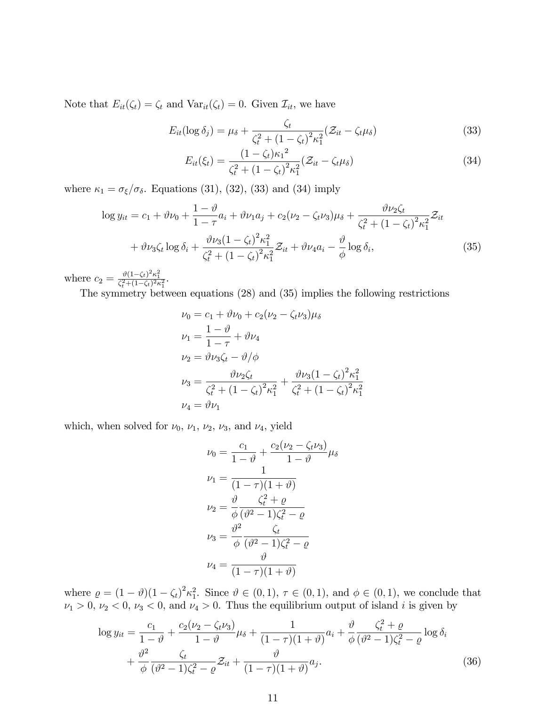Note that  $E_{it}(\zeta_t) = \zeta_t$  and  $Var_{it}(\zeta_t) = 0$ . Given  $\mathcal{I}_{it}$ , we have

$$
E_{it}(\log \delta_j) = \mu_{\delta} + \frac{\zeta_t}{\zeta_t^2 + (1 - \zeta_t)^2 \kappa_1^2} (\mathcal{Z}_{it} - \zeta_t \mu_{\delta})
$$
\n(33)

$$
E_{it}(\xi_t) = \frac{(1 - \zeta_t)\kappa_1^2}{\zeta_t^2 + (1 - \zeta_t)^2 \kappa_1^2} (\mathcal{Z}_{it} - \zeta_t \mu_\delta)
$$
(34)

where  $\kappa_1 = \sigma_{\xi}/\sigma_{\delta}$ . Equations (31), (32), (33) and (34) imply

$$
\log y_{it} = c_1 + \vartheta \nu_0 + \frac{1 - \vartheta}{1 - \tau} a_i + \vartheta \nu_1 a_j + c_2 (\nu_2 - \zeta_t \nu_3) \mu_\delta + \frac{\vartheta \nu_2 \zeta_t}{\zeta_t^2 + (1 - \zeta_t)^2 \kappa_1^2} \mathcal{Z}_{it}
$$

$$
+ \vartheta \nu_3 \zeta_t \log \delta_i + \frac{\vartheta \nu_3 (1 - \zeta_t)^2 \kappa_1^2}{\zeta_t^2 + (1 - \zeta_t)^2 \kappa_1^2} \mathcal{Z}_{it} + \vartheta \nu_4 a_i - \frac{\vartheta}{\phi} \log \delta_i, \tag{35}
$$

where  $c_2 = \frac{\vartheta (1 - \zeta_t)^2 \kappa_1^2}{\zeta_t^2 + (1 - \zeta_t)^2 \kappa_1^2}$ .

The symmetry between equations (28) and (35) implies the following restrictions

$$
\nu_0 = c_1 + \vartheta \nu_0 + c_2 (\nu_2 - \zeta_t \nu_3) \mu_\delta
$$
  
\n
$$
\nu_1 = \frac{1 - \vartheta}{1 - \tau} + \vartheta \nu_4
$$
  
\n
$$
\nu_2 = \vartheta \nu_3 \zeta_t - \vartheta / \varphi
$$
  
\n
$$
\nu_3 = \frac{\vartheta \nu_2 \zeta_t}{\zeta_t^2 + (1 - \zeta_t)^2 \kappa_1^2} + \frac{\vartheta \nu_3 (1 - \zeta_t)^2 \kappa_1^2}{\zeta_t^2 + (1 - \zeta_t)^2 \kappa_1^2}
$$
  
\n
$$
\nu_4 = \vartheta \nu_1
$$

which, when solved for  $\nu_0$ ,  $\nu_1$ ,  $\nu_2$ ,  $\nu_3$ , and  $\nu_4$ , yield

$$
\nu_0 = \frac{c_1}{1 - \vartheta} + \frac{c_2(\nu_2 - \zeta_t \nu_3)}{1 - \vartheta} \mu_\delta
$$
  
\n
$$
\nu_1 = \frac{1}{(1 - \tau)(1 + \vartheta)}
$$
  
\n
$$
\nu_2 = \frac{\vartheta}{\phi} \frac{\zeta_t^2 + \varrho}{(\vartheta^2 - 1)\zeta_t^2 - \varrho}
$$
  
\n
$$
\nu_3 = \frac{\vartheta^2}{\phi} \frac{\zeta_t}{(\vartheta^2 - 1)\zeta_t^2 - \varrho}
$$
  
\n
$$
\nu_4 = \frac{\vartheta}{(1 - \tau)(1 + \vartheta)}
$$

where  $\rho = (1 - \vartheta)(1 - \zeta_t)^2 \kappa_1^2$ . Since  $\vartheta \in (0, 1)$ ,  $\tau \in (0, 1)$ , and  $\phi \in (0, 1)$ , we conclude that  $\nu_1 > 0, \nu_2 < 0, \nu_3 < 0$ , and  $\nu_4 > 0$ . Thus the equilibrium output of island i is given by

$$
\log y_{it} = \frac{c_1}{1 - \vartheta} + \frac{c_2(\nu_2 - \zeta_t \nu_3)}{1 - \vartheta} \mu_{\delta} + \frac{1}{(1 - \tau)(1 + \vartheta)} a_i + \frac{\vartheta}{\phi} \frac{\zeta_t^2 + \varrho}{(\vartheta^2 - 1)\zeta_t^2 - \varrho} \log \delta_i + \frac{\vartheta^2}{\phi} \frac{\zeta_t}{(\vartheta^2 - 1)\zeta_t^2 - \varrho} \mathcal{Z}_{it} + \frac{\vartheta}{(1 - \tau)(1 + \vartheta)} a_j.
$$
(36)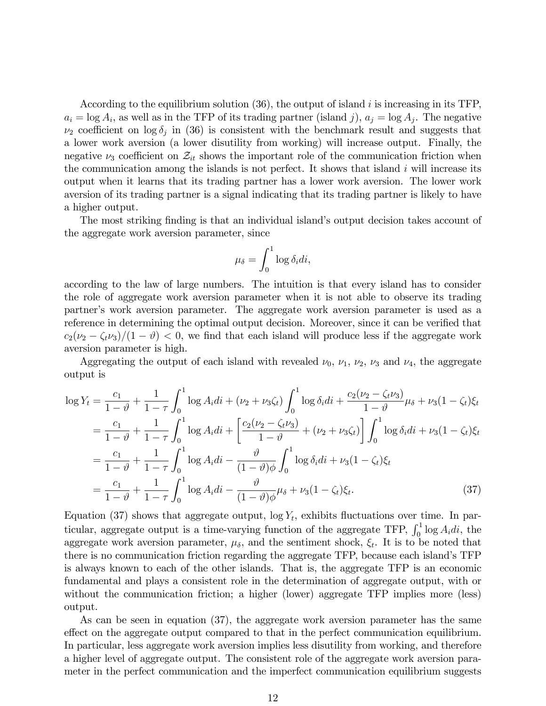According to the equilibrium solution  $(36)$ , the output of island i is increasing in its TFP,  $a_i = \log A_i$ , as well as in the TFP of its trading partner (island j),  $a_j = \log A_j$ . The negative  $\nu_2$  coefficient on log  $\delta_j$  in (36) is consistent with the benchmark result and suggests that a lower work aversion (a lower disutility from working) will increase output. Finally, the negative  $\nu_3$  coefficient on  $\mathcal{Z}_{it}$  shows the important role of the communication friction when the communication among the islands is not perfect. It shows that island  $i$  will increase its output when it learns that its trading partner has a lower work aversion. The lower work aversion of its trading partner is a signal indicating that its trading partner is likely to have a higher output.

The most striking finding is that an individual island's output decision takes account of the aggregate work aversion parameter, since

$$
\mu_{\delta} = \int_0^1 \log \delta_i di,
$$

according to the law of large numbers. The intuition is that every island has to consider the role of aggregate work aversion parameter when it is not able to observe its trading partner's work aversion parameter. The aggregate work aversion parameter is used as a reference in determining the optimal output decision. Moreover, since it can be verified that  $c_2(\nu_2 - \zeta_t\nu_3)/(1 - \vartheta) < 0$ , we find that each island will produce less if the aggregate work aversion parameter is high.

Aggregating the output of each island with revealed  $\nu_0$ ,  $\nu_1$ ,  $\nu_2$ ,  $\nu_3$  and  $\nu_4$ , the aggregate output is

$$
\log Y_t = \frac{c_1}{1-\vartheta} + \frac{1}{1-\tau} \int_0^1 \log A_i di + (\nu_2 + \nu_3 \zeta_t) \int_0^1 \log \delta_i di + \frac{c_2(\nu_2 - \zeta_t \nu_3)}{1-\vartheta} \mu_\delta + \nu_3 (1-\zeta_t) \xi_t
$$
  
\n
$$
= \frac{c_1}{1-\vartheta} + \frac{1}{1-\tau} \int_0^1 \log A_i di + \left[ \frac{c_2(\nu_2 - \zeta_t \nu_3)}{1-\vartheta} + (\nu_2 + \nu_3 \zeta_t) \right] \int_0^1 \log \delta_i di + \nu_3 (1-\zeta_t) \xi_t
$$
  
\n
$$
= \frac{c_1}{1-\vartheta} + \frac{1}{1-\tau} \int_0^1 \log A_i di - \frac{\vartheta}{(1-\vartheta)\varphi} \int_0^1 \log \delta_i di + \nu_3 (1-\zeta_t) \xi_t
$$
  
\n
$$
= \frac{c_1}{1-\vartheta} + \frac{1}{1-\tau} \int_0^1 \log A_i di - \frac{\vartheta}{(1-\vartheta)\varphi} \mu_\delta + \nu_3 (1-\zeta_t) \xi_t.
$$
 (37)

Equation (37) shows that aggregate output,  $\log Y_t$ , exhibits fluctuations over time. In particular, aggregate output is a time-varying function of the aggregate TFP,  $\int_0^1 \log A_i \, di$ , the aggregate work aversion parameter,  $\mu_{\delta}$ , and the sentiment shock,  $\xi_t$ . It is to be noted that there is no communication friction regarding the aggregate TFP, because each island's TFP is always known to each of the other islands. That is, the aggregate TFP is an economic fundamental and plays a consistent role in the determination of aggregate output, with or without the communication friction; a higher (lower) aggregate TFP implies more (less) output.

As can be seen in equation (37), the aggregate work aversion parameter has the same effect on the aggregate output compared to that in the perfect communication equilibrium. In particular, less aggregate work aversion implies less disutility from working, and therefore a higher level of aggregate output. The consistent role of the aggregate work aversion parameter in the perfect communication and the imperfect communication equilibrium suggests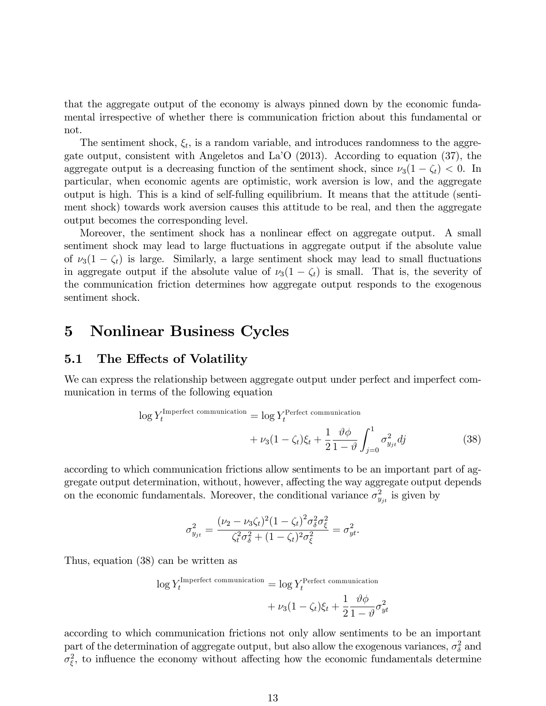that the aggregate output of the economy is always pinned down by the economic fundamental irrespective of whether there is communication friction about this fundamental or not.

The sentiment shock,  $\xi_t$ , is a random variable, and introduces randomness to the aggregate output, consistent with Angeletos and La<sup> $\overline{O}$ </sup> (2013). According to equation (37), the aggregate output is a decreasing function of the sentiment shock, since  $\nu_3(1 - \zeta_t) < 0$ . In particular, when economic agents are optimistic, work aversion is low, and the aggregate output is high. This is a kind of self-fulling equilibrium. It means that the attitude (sentiment shock) towards work aversion causes this attitude to be real, and then the aggregate output becomes the corresponding level.

Moreover, the sentiment shock has a nonlinear effect on aggregate output. A small sentiment shock may lead to large fluctuations in aggregate output if the absolute value of  $\nu_3(1 - \zeta_t)$  is large. Similarly, a large sentiment shock may lead to small fluctuations in aggregate output if the absolute value of  $\nu_3(1 - \zeta_t)$  is small. That is, the severity of the communication friction determines how aggregate output responds to the exogenous sentiment shock.

# 5 Nonlinear Business Cycles

### 5.1 The Effects of Volatility

We can express the relationship between aggregate output under perfect and imperfect communication in terms of the following equation

$$
\log Y_t^{\text{Imperfect communication}} = \log Y_t^{\text{Perfect communication}} + \nu_3 (1 - \zeta_t) \xi_t + \frac{1}{2} \frac{\vartheta \phi}{1 - \vartheta} \int_{j=0}^1 \sigma_{y_{jt}}^2 dj \tag{38}
$$

according to which communication frictions allow sentiments to be an important part of aggregate output determination, without, however, affecting the way aggregate output depends on the economic fundamentals. Moreover, the conditional variance  $\sigma_{y_{jt}}^2$  is given by

$$
\sigma_{y_{jt}}^2 = \frac{(\nu_2 - \nu_3 \zeta_t)^2 (1 - \zeta_t)^2 \sigma_\delta^2 \sigma_\xi^2}{\zeta_t^2 \sigma_\delta^2 + (1 - \zeta_t)^2 \sigma_\xi^2} = \sigma_{yt}^2.
$$

Thus, equation (38) can be written as

$$
\log Y_t^{\text{Imperfect communication}} = \log Y_t^{\text{Perfect communication}} + \nu_3 (1 - \zeta_t) \xi_t + \frac{1}{2} \frac{\vartheta \phi}{1 - \vartheta} \sigma_{yt}^2
$$

according to which communication frictions not only allow sentiments to be an important part of the determination of aggregate output, but also allow the exogenous variances,  $\sigma_{\delta}^2$  and  $\sigma_{\xi}^2$ , to influence the economy without affecting how the economic fundamentals determine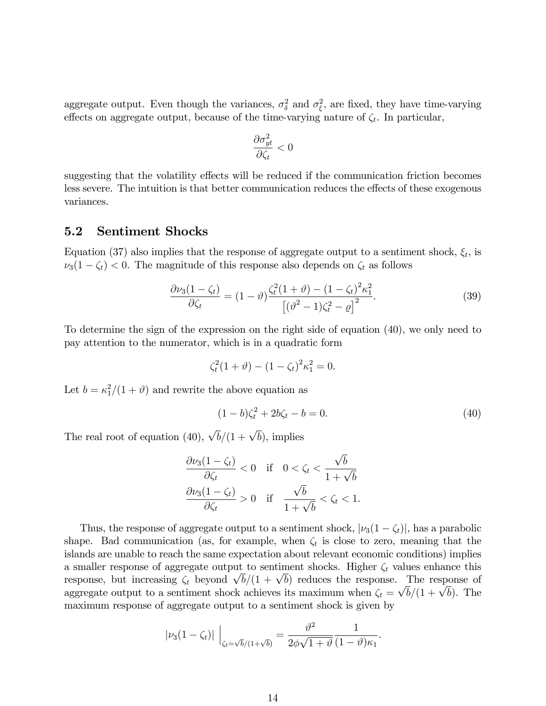aggregate output. Even though the variances,  $\sigma_{\delta}^2$  and  $\sigma_{\xi}^2$ , are fixed, they have time-varying effects on aggregate output, because of the time-varying nature of  $\zeta_t$ . In particular,

$$
\frac{\partial \sigma_{yt}^2}{\partial \zeta_t} < 0
$$

suggesting that the volatility effects will be reduced if the communication friction becomes less severe. The intuition is that better communication reduces the effects of these exogenous variances.

#### 5.2 Sentiment Shocks

Equation (37) also implies that the response of aggregate output to a sentiment shock,  $\xi_t$ , is  $\nu_3(1 - \zeta_t) < 0$ . The magnitude of this response also depends on  $\zeta_t$  as follows

$$
\frac{\partial \nu_3 (1 - \zeta_t)}{\partial \zeta_t} = (1 - \vartheta) \frac{\zeta_t^2 (1 + \vartheta) - (1 - \zeta_t)^2 \kappa_1^2}{\left[ (\vartheta^2 - 1) \zeta_t^2 - \varrho \right]^2}.
$$
\n(39)

To determine the sign of the expression on the right side of equation (40), we only need to pay attention to the numerator, which is in a quadratic form

$$
\zeta_t^2 (1 + \vartheta) - (1 - \zeta_t)^2 \kappa_1^2 = 0.
$$

Let  $b = \kappa_1^2/(1 + \vartheta)$  and rewrite the above equation as

$$
(1 - b)\zeta_t^2 + 2b\zeta_t - b = 0.
$$
\n(40)

The real root of equation (40),  $\sqrt{b}/(1 + \sqrt{b})$ , implies

$$
\frac{\partial \nu_3 (1 - \zeta_t)}{\partial \zeta_t} < 0 \quad \text{if} \quad 0 < \zeta_t < \frac{\sqrt{b}}{1 + \sqrt{b}}
$$
\n
$$
\frac{\partial \nu_3 (1 - \zeta_t)}{\partial \zeta_t} > 0 \quad \text{if} \quad \frac{\sqrt{b}}{1 + \sqrt{b}} < \zeta_t < 1.
$$

Thus, the response of aggregate output to a sentiment shock,  $|\nu_3(1 - \zeta_t)|$ , has a parabolic shape. Bad communication (as, for example, when  $\zeta_t$  is close to zero, meaning that the islands are unable to reach the same expectation about relevant economic conditions) implies a smaller response of aggregate output to sentiment shocks. Higher  $\zeta_t$  values enhance this response, but increasing  $\zeta_t$  beyond  $\sqrt{b}/(1 + \sqrt{b})$  reduces the response. The response of aggregate output to a sentiment shock achieves its maximum when  $\zeta_t = \sqrt{b}/(1 + \sqrt{b})$ . The maximum response of aggregate output to a sentiment shock is given by

$$
|\nu_3(1-\zeta_t)|\Big|_{\zeta_t=\sqrt{b}/(1+\sqrt{b})}=\frac{\vartheta^2}{2\phi\sqrt{1+\vartheta}}\frac{1}{(1-\vartheta)\kappa_1}.
$$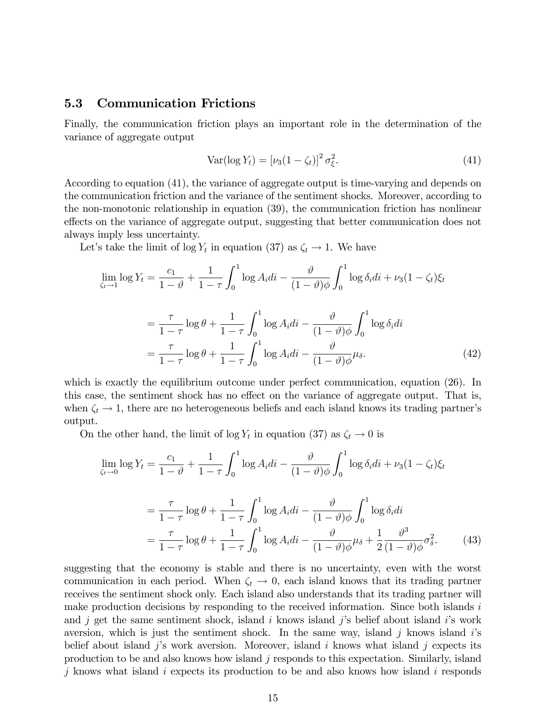### 5.3 Communication Frictions

Finally, the communication friction plays an important role in the determination of the variance of aggregate output

$$
\text{Var}(\log Y_t) = \left[\nu_3(1-\zeta_t)\right]^2 \sigma_{\xi}^2. \tag{41}
$$

According to equation (41), the variance of aggregate output is time-varying and depends on the communication friction and the variance of the sentiment shocks. Moreover, according to the non-monotonic relationship in equation (39), the communication friction has nonlinear effects on the variance of aggregate output, suggesting that better communication does not always imply less uncertainty.

Let's take the limit of  $\log Y_t$  in equation (37) as  $\zeta_t \to 1$ . We have

$$
\lim_{\zeta_t \to 1} \log Y_t = \frac{c_1}{1 - \vartheta} + \frac{1}{1 - \tau} \int_0^1 \log A_i di - \frac{\vartheta}{(1 - \vartheta)\phi} \int_0^1 \log \delta_i di + \nu_3 (1 - \zeta_t) \xi_t
$$
\n
$$
= \frac{\tau}{1 - \tau} \log \theta + \frac{1}{1 - \tau} \int_0^1 \log A_i di - \frac{\vartheta}{(1 - \vartheta)\phi} \int_0^1 \log \delta_i di
$$
\n
$$
= \frac{\tau}{1 - \tau} \log \theta + \frac{1}{1 - \tau} \int_0^1 \log A_i di - \frac{\vartheta}{(1 - \vartheta)\phi} \mu_\delta. \tag{42}
$$

which is exactly the equilibrium outcome under perfect communication, equation (26). In this case, the sentiment shock has no effect on the variance of aggregate output. That is, when  $\zeta_t \to 1$ , there are no heterogeneous beliefs and each island knows its trading partner's output.

On the other hand, the limit of  $\log Y_t$  in equation (37) as  $\zeta_t \to 0$  is

$$
\lim_{\zeta_t \to 0} \log Y_t = \frac{c_1}{1 - \vartheta} + \frac{1}{1 - \tau} \int_0^1 \log A_i di - \frac{\vartheta}{(1 - \vartheta)\phi} \int_0^1 \log \delta_i di + \nu_3 (1 - \zeta_t) \xi_t
$$

$$
= \frac{\tau}{1 - \tau} \log \theta + \frac{1}{1 - \tau} \int_0^1 \log A_i di - \frac{\vartheta}{(1 - \vartheta)\phi} \int_0^1 \log \delta_i di
$$

$$
= \frac{\tau}{1 - \tau} \log \theta + \frac{1}{1 - \tau} \int_0^1 \log A_i di - \frac{\vartheta}{(1 - \vartheta)\phi} \mu_\delta + \frac{1}{2} \frac{\vartheta^3}{(1 - \vartheta)\phi} \sigma_\delta^2. \tag{43}
$$

suggesting that the economy is stable and there is no uncertainty, even with the worst communication in each period. When  $\zeta_t \to 0$ , each island knows that its trading partner receives the sentiment shock only. Each island also understands that its trading partner will make production decisions by responding to the received information. Since both islands  $i$ and j get the same sentiment shock, island i knows island j's belief about island i's work aversion, which is just the sentiment shock. In the same way, island j knows island  $i$ 's belief about island j's work aversion. Moreover, island i knows what island j expects its production to be and also knows how island  $j$  responds to this expectation. Similarly, island j knows what island i expects its production to be and also knows how island i responds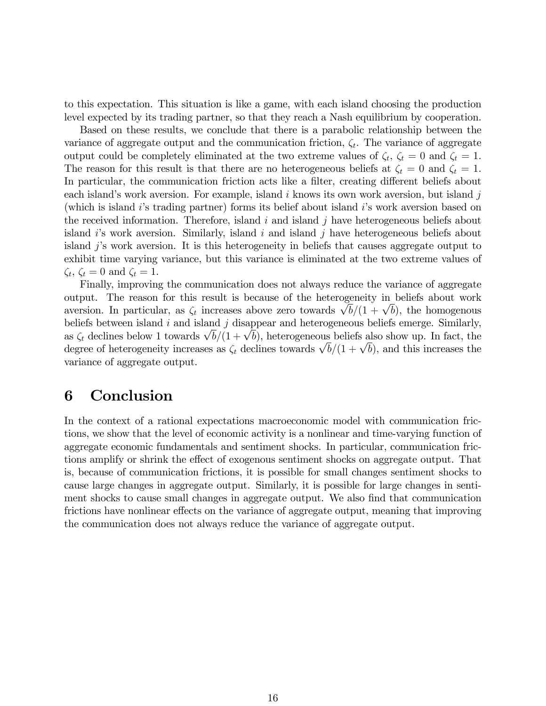to this expectation. This situation is like a game, with each island choosing the production level expected by its trading partner, so that they reach a Nash equilibrium by cooperation.

Based on these results, we conclude that there is a parabolic relationship between the variance of aggregate output and the communication friction,  $\zeta_t$ . The variance of aggregate output could be completely eliminated at the two extreme values of  $\zeta_t$ ,  $\zeta_t = 0$  and  $\zeta_t = 1$ . The reason for this result is that there are no heterogeneous beliefs at  $\zeta_t = 0$  and  $\zeta_t = 1$ . In particular, the communication friction acts like a filter, creating different beliefs about each island's work aversion. For example, island i knows its own work aversion, but island j (which is island i's trading partner) forms its belief about island i's work aversion based on the received information. Therefore, island  $i$  and island  $j$  have heterogeneous beliefs about island  $i$ 's work aversion. Similarly, island  $i$  and island  $j$  have heterogeneous beliefs about island jís work aversion. It is this heterogeneity in beliefs that causes aggregate output to exhibit time varying variance, but this variance is eliminated at the two extreme values of  $\zeta_t$ ,  $\zeta_t = 0$  and  $\zeta_t = 1$ .

Finally, improving the communication does not always reduce the variance of aggregate output. The reason for this result is because of the heterogeneity in beliefs about work aversion. In particular, as  $\zeta_t$  increases above zero towards  $\sqrt{b}/(1 + \sqrt{b})$ , the homogenous beliefs between island  $i$  and island  $j$  disappear and heterogeneous beliefs emerge. Similarly, as  $\zeta_t$  declines below 1 towards  $\sqrt{b}/(1+\sqrt{b})$ , heterogeneous beliefs also show up. In fact, the degree of heterogeneity increases as  $\zeta_t$  declines towards  $\sqrt{b}/(1+\sqrt{b})$ , and this increases the variance of aggregate output.

# 6 Conclusion

In the context of a rational expectations macroeconomic model with communication frictions, we show that the level of economic activity is a nonlinear and time-varying function of aggregate economic fundamentals and sentiment shocks. In particular, communication frictions amplify or shrink the effect of exogenous sentiment shocks on aggregate output. That is, because of communication frictions, it is possible for small changes sentiment shocks to cause large changes in aggregate output. Similarly, it is possible for large changes in sentiment shocks to cause small changes in aggregate output. We also find that communication frictions have nonlinear effects on the variance of aggregate output, meaning that improving the communication does not always reduce the variance of aggregate output.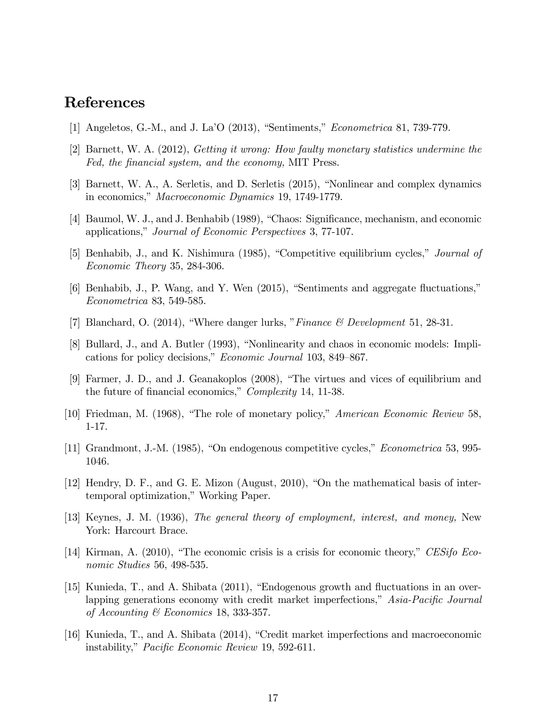# References

- [1] Angeletos, G.-M., and J. La<sup> $\prime$ </sup>O (2013), "Sentiments," *Econometrica* 81, 739-779.
- [2] Barnett, W. A. (2012), Getting it wrong: How faulty monetary statistics undermine the Fed, the financial system, and the economy, MIT Press.
- [3] Barnett, W. A., A. Serletis, and D. Serletis (2015), "Nonlinear and complex dynamics in economics," Macroeconomic Dynamics 19, 1749-1779.
- [4] Baumol, W. J., and J. Benhabib (1989), "Chaos: Significance, mechanism, and economic applications," Journal of Economic Perspectives 3, 77-107.
- [5] Benhabib, J., and K. Nishimura (1985), "Competitive equilibrium cycles," Journal of Economic Theory 35, 284-306.
- $[6]$  Benhabib, J., P. Wang, and Y. Wen  $(2015)$ , "Sentiments and aggregate fluctuations," Econometrica 83, 549-585.
- [7] Blanchard, O. (2014), "Where danger lurks, "Finance  $\mathcal C$  Development 51, 28-31.
- [8] Bullard, J., and A. Butler (1993), "Nonlinearity and chaos in economic models: Implications for policy decisions," Economic Journal 103, 849-867.
- [9] Farmer, J. D., and J. Geanakoplos (2008), "The virtues and vices of equilibrium and the future of financial economics," Complexity 14, 11-38.
- [10] Friedman, M. (1968), "The role of monetary policy," American Economic Review 58, 1-17.
- [11] Grandmont, J.-M. (1985), "On endogenous competitive cycles," *Econometrica* 53, 995-1046.
- [12] Hendry, D. F., and G. E. Mizon (August, 2010), "On the mathematical basis of intertemporal optimization," Working Paper.
- [13] Keynes, J. M. (1936), The general theory of employment, interest, and money, New York: Harcourt Brace.
- [14] Kirman, A. (2010), "The economic crisis is a crisis for economic theory," CESifo Economic Studies 56, 498-535.
- [15] Kunieda, T., and A. Shibata  $(2011)$ , "Endogenous growth and fluctuations in an overlapping generations economy with credit market imperfections, $\delta$  Asia-Pacific Journal of Accounting & Economics 18, 333-357.
- [16] Kunieda, T., and A. Shibata  $(2014)$ , "Credit market imperfections and macroeconomic instability," *Pacific Economic Review* 19, 592-611.